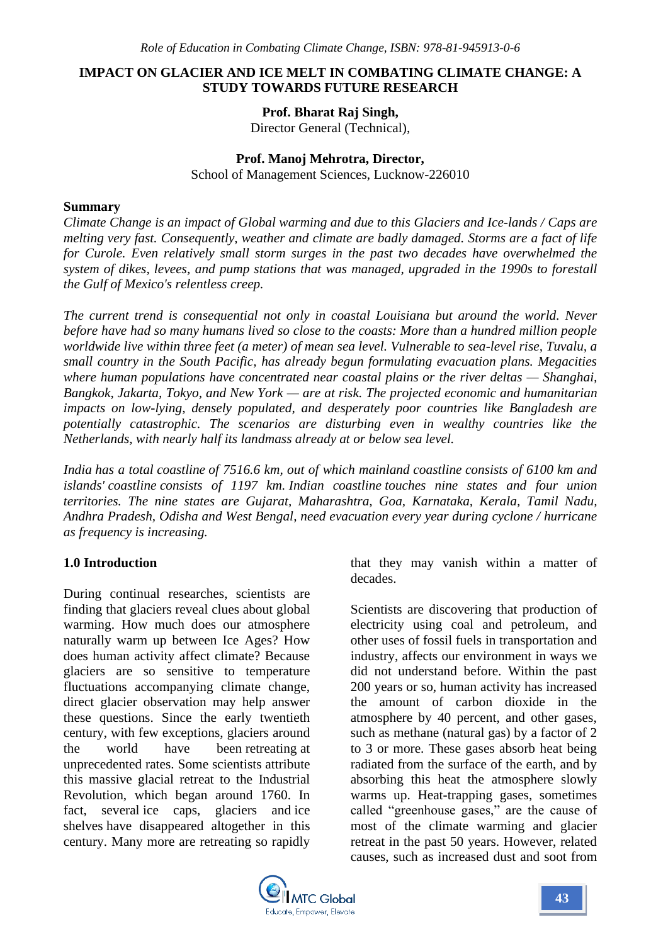### **IMPACT ON GLACIER AND ICE MELT IN COMBATING CLIMATE CHANGE: A STUDY TOWARDS FUTURE RESEARCH**

### **Prof. Bharat Raj Singh,**

Director General (Technical),

**Prof. Manoj Mehrotra, Director,** School of Management Sciences, Lucknow-226010

#### **Summary**

*Climate Change is an impact of Global warming and due to this Glaciers and Ice-lands / Caps are melting very fast. Consequently, weather and climate are badly damaged. Storms are a fact of life for Curole. Even relatively small storm surges in the past two decades have overwhelmed the system of dikes, levees, and pump stations that was managed, upgraded in the 1990s to forestall the Gulf of Mexico's relentless creep.* 

*The current trend is consequential not only in coastal Louisiana but around the world. Never before have had so many humans lived so close to the coasts: More than a hundred million people worldwide live within three feet (a meter) of mean sea level. Vulnerable to sea-level rise, Tuvalu, a small country in the South Pacific, has already begun formulating evacuation plans. Megacities where human populations have concentrated near coastal plains or the river deltas — Shanghai, Bangkok, Jakarta, Tokyo, and New York — are at risk. The projected economic and humanitarian impacts on low-lying, densely populated, and desperately poor countries like Bangladesh are potentially catastrophic. The scenarios are disturbing even in wealthy countries like the Netherlands, with nearly half its landmass already at or below sea level.*

*India has a total coastline of 7516.6 km, out of which mainland coastline consists of 6100 km and islands' coastline consists of 1197 km. Indian coastline touches nine states and four union territories. The nine states are Gujarat, Maharashtra, Goa, Karnataka, Kerala, Tamil Nadu, Andhra Pradesh, Odisha and West Bengal, need evacuation every year during cyclone / hurricane as frequency is increasing.*

## **1.0 Introduction**

During continual researches, scientists are finding that glaciers reveal clues about global warming. How much does our atmosphere naturally warm up between Ice Ages? How does human activity affect climate? Because glaciers are so sensitive to temperature fluctuations accompanying climate change, direct glacier observation may help answer these questions. Since the early twentieth century, with few exceptions, glaciers around the world have been retreating at unprecedented rates. Some scientists attribute this massive glacial retreat to the Industrial Revolution, which began around 1760. In fact, several ice caps, glaciers and ice shelves have disappeared altogether in this century. Many more are retreating so rapidly

that they may vanish within a matter of decades.

Scientists are discovering that production of electricity using coal and petroleum, and other uses of fossil fuels in transportation and industry, affects our environment in ways we did not understand before. Within the past 200 years or so, human activity has increased the amount of carbon dioxide in the atmosphere by 40 percent, and other gases, such as methane (natural gas) by a factor of 2 to 3 or more. These gases absorb heat being radiated from the surface of the earth, and by absorbing this heat the atmosphere slowly warms up. Heat-trapping gases, sometimes called "greenhouse gases," are the cause of most of the climate warming and glacier retreat in the past 50 years. However, related causes, such as increased dust and soot from

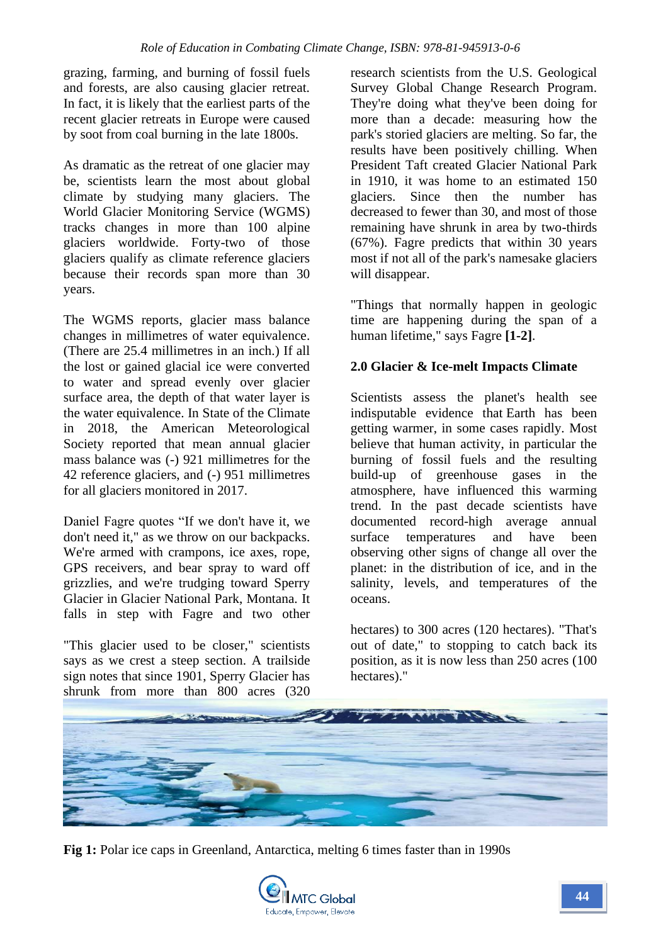grazing, farming, and burning of fossil fuels and forests, are also causing glacier retreat. In fact, it is likely that the earliest parts of the recent glacier retreats in Europe were caused by soot from coal burning in the late 1800s.

As dramatic as the retreat of one glacier may be, scientists learn the most about global climate by studying many glaciers. The World Glacier Monitoring Service (WGMS) tracks changes in more than 100 alpine glaciers worldwide. Forty-two of those glaciers qualify as climate reference glaciers because their records span more than 30 years.

The WGMS reports, glacier mass balance changes in millimetres of water equivalence. (There are 25.4 millimetres in an inch.) If all the lost or gained glacial ice were converted to water and spread evenly over glacier surface area, the depth of that water layer is the water equivalence. In State of the Climate in 2018, the American Meteorological Society reported that mean annual glacier mass balance was (-) 921 millimetres for the 42 reference glaciers, and (-) 951 millimetres for all glaciers monitored in 2017.

Daniel Fagre quotes "If we don't have it, we don't need it," as we throw on our backpacks. We're armed with crampons, ice axes, rope, GPS receivers, and bear spray to ward off grizzlies, and we're trudging toward Sperry Glacier in Glacier National Park, Montana. It falls in step with Fagre and two other

"This glacier used to be closer," scientists says as we crest a steep section. A trailside sign notes that since 1901, Sperry Glacier has shrunk from more than 800 acres (320

research scientists from the U.S. Geological Survey Global Change Research Program. They're doing what they've been doing for more than a decade: measuring how the park's storied glaciers are melting. So far, the results have been positively chilling. When President Taft created Glacier National Park in 1910, it was home to an estimated 150 glaciers. Since then the number has decreased to fewer than 30, and most of those remaining have shrunk in area by two-thirds (67%). Fagre predicts that within 30 years most if not all of the park's namesake glaciers will disappear.

"Things that normally happen in geologic time are happening during the span of a human lifetime," says Fagre **[1-2]**.

### **2.0 Glacier & Ice-melt Impacts Climate**

Scientists assess the planet's health see indisputable evidence that Earth has been getting warmer, in some cases rapidly. Most believe that human activity, in particular the burning of fossil fuels and the resulting build-up of greenhouse gases in the atmosphere, have influenced this warming trend. In the past decade scientists have documented record-high average annual surface temperatures and have been observing other signs of change all over the planet: in the distribution of ice, and in the salinity, levels, and temperatures of the oceans.

hectares) to 300 acres (120 hectares). "That's out of date," to stopping to catch back its position, as it is now less than 250 acres (100 hectares)."



**Fig 1:** Polar ice caps in Greenland, Antarctica, melting 6 times faster than in 1990s

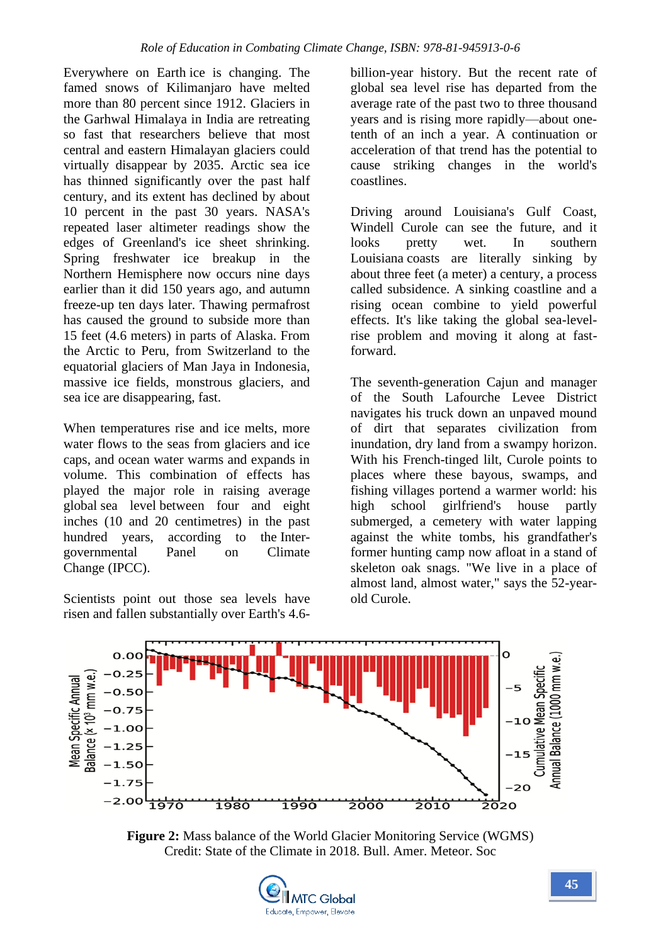Everywhere on Earth ice is changing. The famed snows of Kilimanjaro have melted more than 80 percent since 1912. Glaciers in the Garhwal Himalaya in India are retreating so fast that researchers believe that most central and eastern Himalayan glaciers could virtually disappear by 2035. Arctic sea ice has thinned significantly over the past half century, and its extent has declined by about 10 percent in the past 30 years. NASA's repeated laser altimeter readings show the edges of Greenland's ice sheet shrinking. Spring freshwater ice breakup in the Northern Hemisphere now occurs nine days earlier than it did 150 years ago, and autumn freeze-up ten days later. Thawing permafrost has caused the ground to subside more than 15 feet (4.6 meters) in parts of Alaska. From the Arctic to Peru, from Switzerland to the equatorial glaciers of Man Jaya in Indonesia, massive ice fields, monstrous glaciers, and sea ice are disappearing, fast.

When temperatures rise and ice melts, more water flows to the seas from glaciers and ice caps, and ocean water warms and expands in volume. This combination of effects has played the major role in raising average global sea level between four and eight inches (10 and 20 centimetres) in the past hundred years, according to the Intergovernmental Panel on Climate Change (IPCC).

Scientists point out those sea levels have risen and fallen substantially over Earth's 4.6billion-year history. But the recent rate of global sea level rise has departed from the average rate of the past two to three thousand years and is rising more rapidly—about onetenth of an inch a year. A continuation or acceleration of that trend has the potential to cause striking changes in the world's coastlines.

Driving around Louisiana's Gulf Coast, Windell Curole can see the future, and it looks pretty wet. In southern Louisiana coasts are literally sinking by about three feet (a meter) a century, a process called subsidence. A sinking coastline and a rising ocean combine to yield powerful effects. It's like taking the global sea-levelrise problem and moving it along at fastforward.

The seventh-generation Cajun and manager of the South Lafourche Levee District navigates his truck down an unpaved mound of dirt that separates civilization from inundation, dry land from a swampy horizon. With his French-tinged lilt, Curole points to places where these bayous, swamps, and fishing villages portend a warmer world: his high school girlfriend's house partly submerged, a cemetery with water lapping against the white tombs, his grandfather's former hunting camp now afloat in a stand of skeleton oak snags. "We live in a place of almost land, almost water," says the 52-yearold Curole.



**Figure 2:** Mass balance of the World Glacier Monitoring Service (WGMS) Credit: State of the Climate in 2018. Bull. Amer. Meteor. Soc

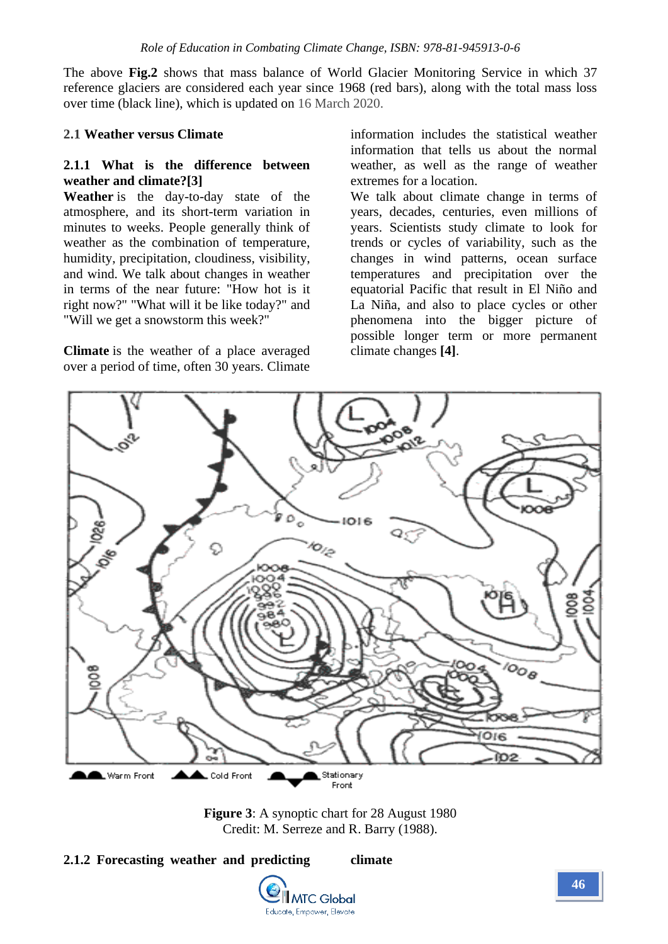The above **Fig.2** shows that mass balance of World Glacier Monitoring Service in which 37 reference glaciers are considered each year since 1968 (red bars), along with the total mass loss over time (black line), which is updated on 16 March 2020.

### **2.1 Weather versus Climate**

### **2.1.1 What is the difference between weather and climate?[3]**

**Weather** is the day-to-day state of the atmosphere, and its short-term variation in minutes to weeks. People generally think of weather as the combination of temperature, humidity, precipitation, cloudiness, visibility, and wind. We talk about changes in weather in terms of the near future: "How hot is it right now?" "What will it be like today?" and "Will we get a snowstorm this week?"

**Climate** is the weather of a place averaged over a period of time, often 30 years. Climate information includes the statistical weather information that tells us about the normal weather, as well as the range of weather extremes for a location.

We talk about climate change in terms of years, decades, centuries, even millions of years. Scientists study climate to look for trends or cycles of variability, such as the changes in wind patterns, ocean surface temperatures and precipitation over the equatorial Pacific that result in El Niño and La Niña, and also to place cycles or other phenomena into the bigger picture of possible longer term or more permanent climate changes **[4]**.



**Figure 3**: A synoptic chart for 28 August 1980 Credit: M. Serreze and R. Barry (1988).

**2.1.2 Forecasting weather and predicting climate**

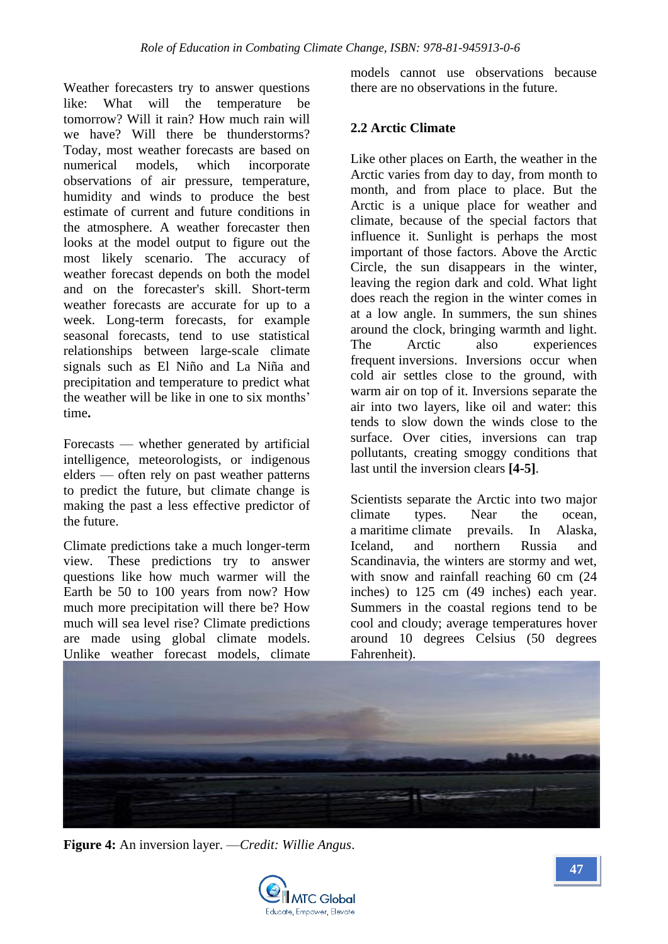Weather forecasters try to answer questions<br>like: What will the temperature be like: What will the temperature be tomorrow? Will it rain? How much rain will we have? Will there be thunderstorms? Today, most weather forecasts are based on numerical models, which incorporate observations of air pressure, temperature, humidity and winds to produce the best estimate of current and future conditions in the atmosphere. A weather forecaster then looks at the model output to figure out the most likely scenario. The accuracy of weather forecast depends on both the model and on the forecaster's skill. Short-term weather forecasts are accurate for up to a week. Long-term forecasts, for example seasonal forecasts, tend to use statistical relationships between large-scale climate signals such as El Niño and La Niña and precipitation and temperature to predict what the weather will be like in one to six months' time**.**

Forecasts — whether generated by artificial intelligence, meteorologists, or indigenous elders — often rely on past weather patterns to predict the future, but climate change is making the past a less effective predictor of the future.

Climate predictions take a much longer-term view. These predictions try to answer questions like how much warmer will the Earth be 50 to 100 years from now? How much more precipitation will there be? How much will sea level rise? Climate predictions are made using global climate models. Unlike weather forecast models, climate models cannot use observations because there are no observations in the future.

### **2.2 Arctic Climate**

Like other places on Earth, the weather in the Arctic varies from day to day, from month to month, and from place to place. But the Arctic is a unique place for weather and climate, because of the special factors that influence it. Sunlight is perhaps the most important of those factors. Above the Arctic Circle, the sun disappears in the winter, leaving the region dark and cold. What light does reach the region in the winter comes in at a low angle. In summers, the sun shines around the clock, bringing warmth and light. The Arctic also experiences frequent inversions. Inversions occur when cold air settles close to the ground, with warm air on top of it. Inversions separate the air into two layers, like oil and water: this tends to slow down the winds close to the surface. Over cities, inversions can trap pollutants, creating smoggy conditions that last until the inversion clears **[4-5]**.

Scientists separate the Arctic into two major climate types. Near the ocean, a maritime climate prevails. In Alaska, Iceland, and northern Russia and Scandinavia, the winters are stormy and wet, with snow and rainfall reaching 60 cm  $(24)$ inches) to 125 cm (49 inches) each year. Summers in the coastal regions tend to be cool and cloudy; average temperatures hover around 10 degrees Celsius (50 degrees Fahrenheit).



**Figure 4:** An inversion layer. —*Credit: Willie Angus*.

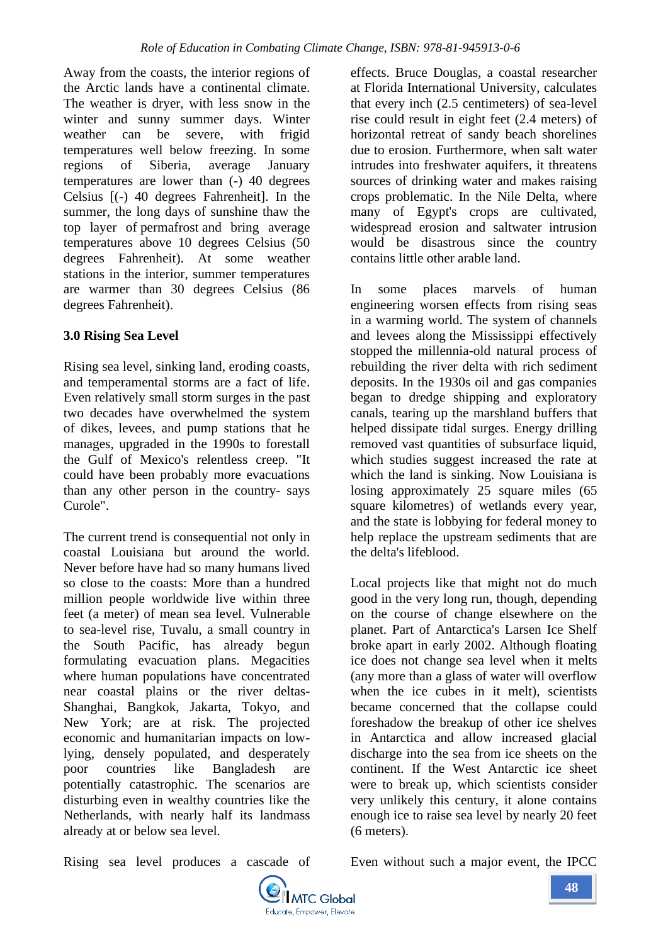Away from the coasts, the interior regions of the Arctic lands have a continental climate. The weather is dryer, with less snow in the winter and sunny summer days. Winter weather can be severe, with frigid temperatures well below freezing. In some regions of Siberia, average January temperatures are lower than (-) 40 degrees Celsius [(-) 40 degrees Fahrenheit]. In the summer, the long days of sunshine thaw the top layer of permafrost and bring average temperatures above 10 degrees Celsius (50 degrees Fahrenheit). At some weather stations in the interior, summer temperatures are warmer than 30 degrees Celsius (86 degrees Fahrenheit).

## **3.0 Rising Sea Level**

Rising sea level, sinking land, eroding coasts, and temperamental storms are a fact of life. Even relatively small storm surges in the past two decades have overwhelmed the system of dikes, levees, and pump stations that he manages, upgraded in the 1990s to forestall the Gulf of Mexico's relentless creep. "It could have been probably more evacuations than any other person in the country- says Curole".

The current trend is consequential not only in coastal Louisiana but around the world. Never before have had so many humans lived so close to the coasts: More than a hundred million people worldwide live within three feet (a meter) of mean sea level. Vulnerable to sea-level rise, Tuvalu, a small country in the South Pacific, has already begun formulating evacuation plans. Megacities where human populations have concentrated near coastal plains or the river deltas-Shanghai, Bangkok, Jakarta, Tokyo, and New York; are at risk. The projected economic and humanitarian impacts on lowlying, densely populated, and desperately poor countries like Bangladesh are potentially catastrophic. The scenarios are disturbing even in wealthy countries like the Netherlands, with nearly half its landmass already at or below sea level.

effects. Bruce Douglas, a coastal researcher at Florida International University, calculates that every inch (2.5 centimeters) of sea-level rise could result in eight feet (2.4 meters) of horizontal retreat of sandy beach shorelines due to erosion. Furthermore, when salt water intrudes into freshwater aquifers, it threatens sources of drinking water and makes raising crops problematic. In the Nile Delta, where many of Egypt's crops are cultivated, widespread erosion and saltwater intrusion would be disastrous since the country contains little other arable land.

In some places marvels of human engineering worsen effects from rising seas in a warming world. The system of channels and levees along the Mississippi effectively stopped the millennia-old natural process of rebuilding the river delta with rich sediment deposits. In the 1930s oil and gas companies began to dredge shipping and exploratory canals, tearing up the marshland buffers that helped dissipate tidal surges. Energy drilling removed vast quantities of subsurface liquid, which studies suggest increased the rate at which the land is sinking. Now Louisiana is losing approximately 25 square miles (65 square kilometres) of wetlands every year, and the state is lobbying for federal money to help replace the upstream sediments that are the delta's lifeblood.

Local projects like that might not do much good in the very long run, though, depending on the course of change elsewhere on the planet. Part of Antarctica's Larsen Ice Shelf broke apart in early 2002. Although floating ice does not change sea level when it melts (any more than a glass of water will overflow when the ice cubes in it melt), scientists became concerned that the collapse could foreshadow the breakup of other ice shelves in Antarctica and allow increased glacial discharge into the sea from ice sheets on the continent. If the West Antarctic ice sheet were to break up, which scientists consider very unlikely this century, it alone contains enough ice to raise sea level by nearly 20 feet (6 meters).

Rising sea level produces a cascade of

Even without such a major event, the IPCC

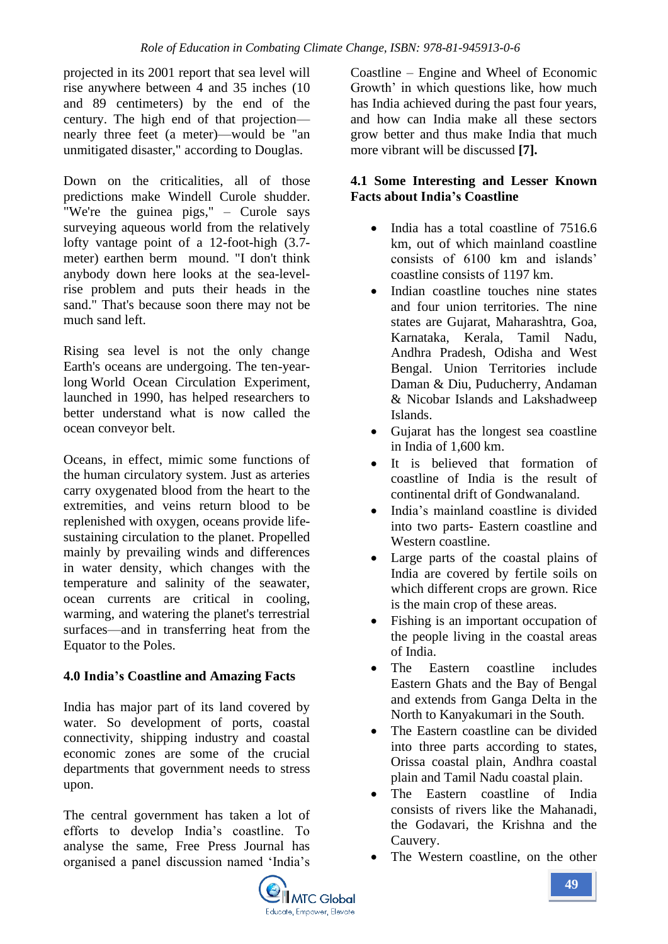projected in its 2001 report that sea level will rise anywhere between 4 and 35 inches (10 and 89 centimeters) by the end of the century. The high end of that projection nearly three feet (a meter)—would be "an unmitigated disaster," according to Douglas.

Down on the criticalities, all of those predictions make Windell Curole shudder. "We're the guinea pigs," – Curole says surveying aqueous world from the relatively lofty vantage point of a 12-foot-high (3.7 meter) earthen berm mound. "I don't think anybody down here looks at the sea-levelrise problem and puts their heads in the sand." That's because soon there may not be much sand left.

Rising sea level is not the only change Earth's oceans are undergoing. The ten-yearlong World Ocean Circulation Experiment, launched in 1990, has helped researchers to better understand what is now called the ocean conveyor belt.

Oceans, in effect, mimic some functions of the human circulatory system. Just as arteries carry oxygenated blood from the heart to the extremities, and veins return blood to be replenished with oxygen, oceans provide lifesustaining circulation to the planet. Propelled mainly by prevailing winds and differences in water density, which changes with the temperature and salinity of the seawater, ocean currents are critical in cooling, warming, and watering the planet's terrestrial surfaces—and in transferring heat from the Equator to the Poles.

# **4.0 India's Coastline and Amazing Facts**

India has major part of its land covered by water. So development of ports, coastal connectivity, shipping industry and coastal economic zones are some of the crucial departments that government needs to stress upon.

The central government has taken a lot of efforts to develop India's coastline. To analyse the same, Free Press Journal has organised a panel discussion named 'India's

Coastline – Engine and Wheel of Economic Growth' in which questions like, how much has India achieved during the past four years, and how can India make all these sectors grow better and thus make India that much more vibrant will be discussed **[7].**

## **4.1 Some Interesting and Lesser Known Facts about India's Coastline**

- India has a total coastline of 7516.6 km, out of which mainland coastline consists of 6100 km and islands' coastline consists of 1197 km.
- Indian coastline touches nine states and four union territories. The nine states are Gujarat, Maharashtra, Goa, Karnataka, Kerala, Tamil Nadu, Andhra Pradesh, Odisha and West Bengal. Union Territories include Daman & Diu, Puducherry, Andaman & Nicobar Islands and Lakshadweep Islands.
- Gujarat has the longest sea coastline in India of 1,600 km.
- It is believed that formation of coastline of India is the result of continental drift of Gondwanaland.
- India's mainland coastline is divided into two parts- Eastern coastline and Western coastline.
- Large parts of the coastal plains of India are covered by fertile soils on which different crops are grown. Rice is the main crop of these areas.
- Fishing is an important occupation of the people living in the coastal areas of India.
- The Eastern coastline includes Eastern Ghats and the Bay of Bengal and extends from Ganga Delta in the North to Kanyakumari in the South.
- The Eastern coastline can be divided into three parts according to states, Orissa coastal plain, Andhra coastal plain and Tamil Nadu coastal plain.
- The Eastern coastline of India consists of rivers like the Mahanadi, the Godavari, the Krishna and the Cauvery.
- The Western coastline, on the other

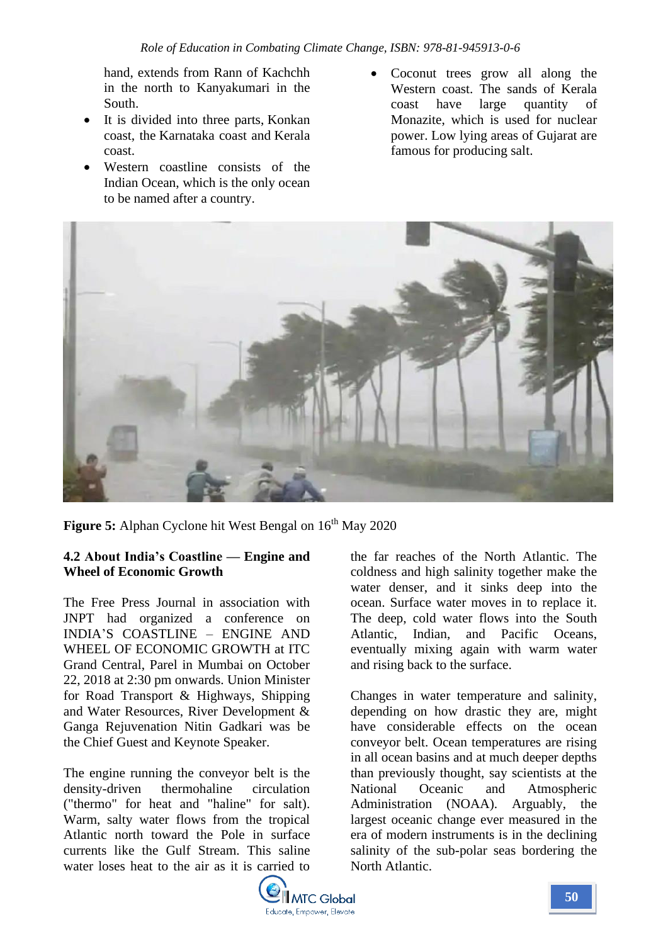hand, extends from Rann of Kachchh in the north to Kanyakumari in the South.

- It is divided into three parts, Konkan coast, the Karnataka coast and Kerala coast.
- Western coastline consists of the Indian Ocean, which is the only ocean to be named after a country.
- Coconut trees grow all along the Western coast. The sands of Kerala coast have large quantity of Monazite, which is used for nuclear power. Low lying areas of Gujarat are famous for producing salt.



**Figure 5:** Alphan Cyclone hit West Bengal on 16<sup>th</sup> May 2020

### **4.2 About India's Coastline — Engine and Wheel of Economic Growth**

The Free Press Journal in association with JNPT had organized a conference on INDIA'S COASTLINE – ENGINE AND WHEEL OF ECONOMIC GROWTH at ITC Grand Central, Parel in Mumbai on October 22, 2018 at 2:30 pm onwards. Union Minister for Road Transport & Highways, Shipping and Water Resources, River Development & Ganga Rejuvenation Nitin Gadkari was be the Chief Guest and Keynote Speaker.

The engine running the conveyor belt is the density-driven thermohaline circulation ("thermo" for heat and "haline" for salt). Warm, salty water flows from the tropical Atlantic north toward the Pole in surface currents like the Gulf Stream. This saline water loses heat to the air as it is carried to

the far reaches of the North Atlantic. The coldness and high salinity together make the water denser, and it sinks deep into the ocean. Surface water moves in to replace it. The deep, cold water flows into the South Atlantic, Indian, and Pacific Oceans, eventually mixing again with warm water and rising back to the surface.

Changes in water temperature and salinity, depending on how drastic they are, might have considerable effects on the ocean conveyor belt. Ocean temperatures are rising in all ocean basins and at much deeper depths than previously thought, say scientists at the National Oceanic and Atmospheric Administration (NOAA). Arguably, the largest oceanic change ever measured in the era of modern instruments is in the declining salinity of the sub-polar seas bordering the North Atlantic.

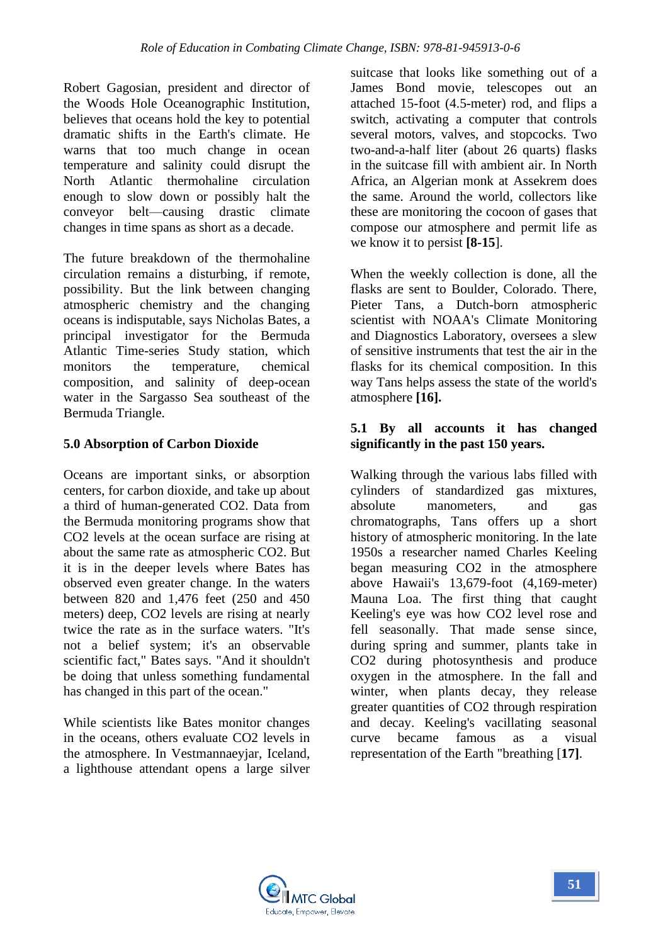Robert Gagosian, president and director of the Woods Hole Oceanographic Institution, believes that oceans hold the key to potential dramatic shifts in the Earth's climate. He warns that too much change in ocean temperature and salinity could disrupt the North Atlantic thermohaline circulation enough to slow down or possibly halt the conveyor belt—causing drastic climate changes in time spans as short as a decade.

The future breakdown of the thermohaline circulation remains a disturbing, if remote, possibility. But the link between changing atmospheric chemistry and the changing oceans is indisputable, says Nicholas Bates, a principal investigator for the Bermuda Atlantic Time-series Study station, which monitors the temperature, chemical composition, and salinity of deep-ocean water in the Sargasso Sea southeast of the Bermuda Triangle.

### **5.0 Absorption of Carbon Dioxide**

Oceans are important sinks, or absorption centers, for carbon dioxide, and take up about a third of human-generated CO2. Data from the Bermuda monitoring programs show that CO2 levels at the ocean surface are rising at about the same rate as atmospheric CO2. But it is in the deeper levels where Bates has observed even greater change. In the waters between 820 and 1,476 feet (250 and 450 meters) deep, CO2 levels are rising at nearly twice the rate as in the surface waters. "It's not a belief system; it's an observable scientific fact," Bates says. "And it shouldn't be doing that unless something fundamental has changed in this part of the ocean."

While scientists like Bates monitor changes in the oceans, others evaluate CO2 levels in the atmosphere. In Vestmannaeyjar, Iceland, a lighthouse attendant opens a large silver suitcase that looks like something out of a James Bond movie, telescopes out an attached 15-foot (4.5-meter) rod, and flips a switch, activating a computer that controls several motors, valves, and stopcocks. Two two-and-a-half liter (about 26 quarts) flasks in the suitcase fill with ambient air. In North Africa, an Algerian monk at Assekrem does the same. Around the world, collectors like these are monitoring the cocoon of gases that compose our atmosphere and permit life as we know it to persist **[8-15**].

When the weekly collection is done, all the flasks are sent to Boulder, Colorado. There, Pieter Tans, a Dutch-born atmospheric scientist with NOAA's Climate Monitoring and Diagnostics Laboratory, oversees a slew of sensitive instruments that test the air in the flasks for its chemical composition. In this way Tans helps assess the state of the world's atmosphere **[16].**

### **5.1 By all accounts it has changed significantly in the past 150 years.**

Walking through the various labs filled with cylinders of standardized gas mixtures, absolute manometers, and gas chromatographs, Tans offers up a short history of atmospheric monitoring. In the late 1950s a researcher named Charles Keeling began measuring CO2 in the atmosphere above Hawaii's 13,679-foot (4,169-meter) Mauna Loa. The first thing that caught Keeling's eye was how CO2 level rose and fell seasonally. That made sense since, during spring and summer, plants take in CO2 during photosynthesis and produce oxygen in the atmosphere. In the fall and winter, when plants decay, they release greater quantities of CO2 through respiration and decay. Keeling's vacillating seasonal curve became famous as a visual representation of the Earth "breathing [**17]**.

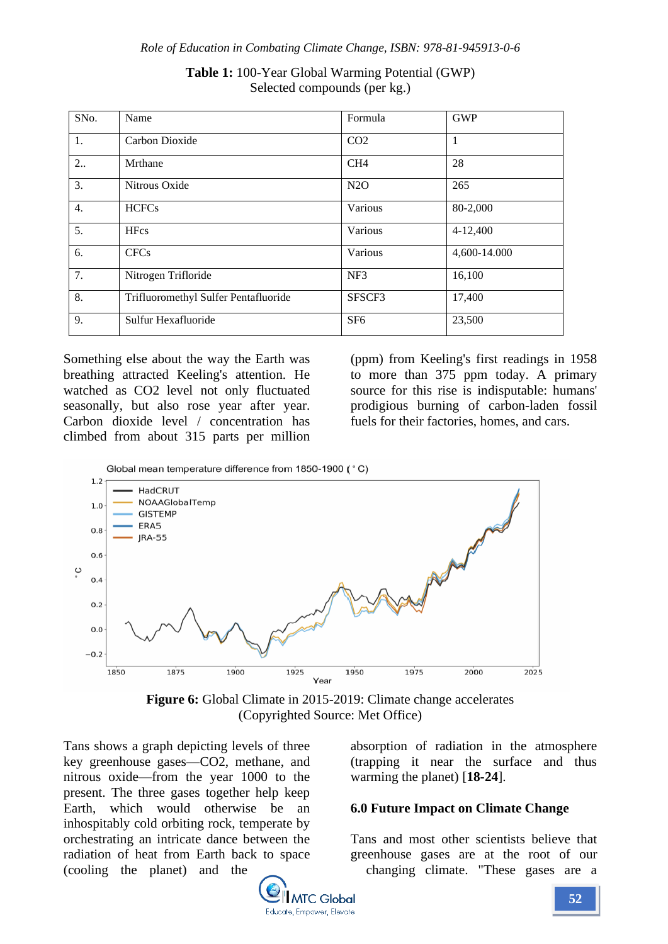*Role of Education in Combating Climate Change, ISBN: 978-81-945913-0-6*

| SNo. | Name                                 | Formula         | <b>GWP</b>   |
|------|--------------------------------------|-----------------|--------------|
| 1.   | Carbon Dioxide                       | CO <sub>2</sub> | 1            |
| 2    | Mrthane                              | CH <sub>4</sub> | 28           |
| 3.   | Nitrous Oxide                        | N2O             | 265          |
| 4.   | <b>HCFCs</b>                         | Various         | 80-2,000     |
| 5.   | <b>HFcs</b>                          | Various         | $4 - 12,400$ |
| 6.   | <b>CFCs</b>                          | Various         | 4,600-14.000 |
| 7.   | Nitrogen Trifloride                  | NF <sub>3</sub> | 16,100       |
| 8.   | Trifluoromethyl Sulfer Pentafluoride | SFSCF3          | 17,400       |
| 9.   | Sulfur Hexafluoride                  | SF <sub>6</sub> | 23,500       |

**Table 1:** 100-Year Global Warming Potential (GWP) Selected compounds (per kg.)

Something else about the way the Earth was breathing attracted Keeling's attention. He watched as CO2 level not only fluctuated seasonally, but also rose year after year. Carbon dioxide level / concentration has climbed from about 315 parts per million

(ppm) from Keeling's first readings in 1958 to more than 375 ppm today. A primary source for this rise is indisputable: humans' prodigious burning of carbon-laden fossil fuels for their factories, homes, and cars.

Global mean temperature difference from 1850-1900 (°C)





Tans shows a graph depicting levels of three key greenhouse gases—CO2, methane, and nitrous oxide—from the year 1000 to the present. The three gases together help keep Earth, which would otherwise be an inhospitably cold orbiting rock, temperate by orchestrating an intricate dance between the radiation of heat from Earth back to space (cooling the planet) and the

absorption of radiation in the atmosphere (trapping it near the surface and thus warming the planet) [**18-24**].

#### **6.0 Future Impact on Climate Change**

Tans and most other scientists believe that greenhouse gases are at the root of our changing climate. "These gases are a

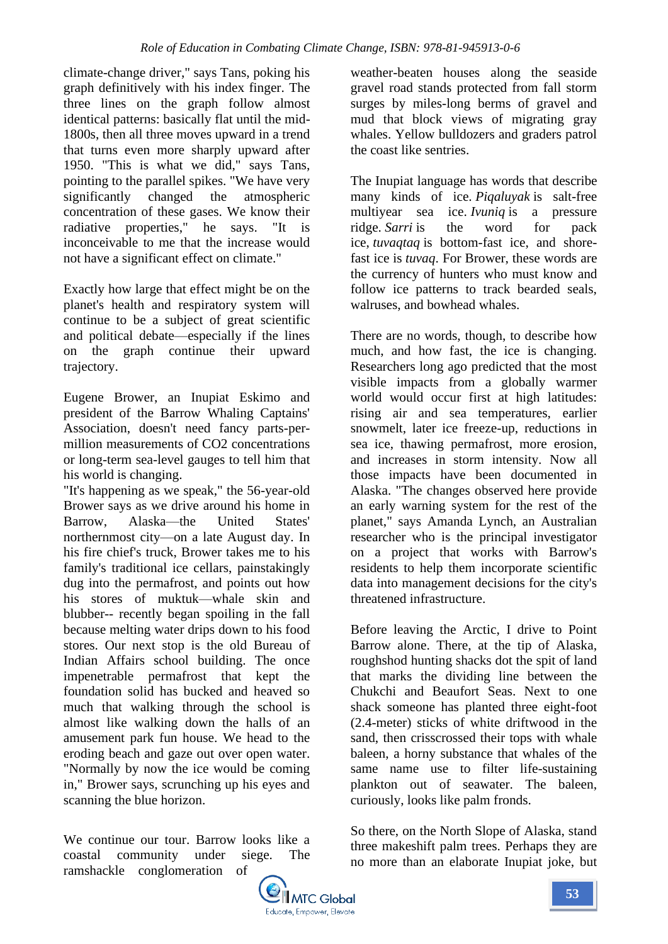climate-change driver," says Tans, poking his graph definitively with his index finger. The three lines on the graph follow almost identical patterns: basically flat until the mid-1800s, then all three moves upward in a trend that turns even more sharply upward after 1950. "This is what we did," says Tans, pointing to the parallel spikes. "We have very significantly changed the atmospheric concentration of these gases. We know their radiative properties," he says. "It is inconceivable to me that the increase would not have a significant effect on climate."

Exactly how large that effect might be on the planet's health and respiratory system will continue to be a subject of great scientific and political debate—especially if the lines on the graph continue their upward trajectory.

Eugene Brower, an Inupiat Eskimo and president of the Barrow Whaling Captains' Association, doesn't need fancy parts-permillion measurements of CO2 concentrations or long-term sea-level gauges to tell him that his world is changing.

"It's happening as we speak," the 56-year-old Brower says as we drive around his home in Barrow, Alaska—the United States' northernmost city—on a late August day. In his fire chief's truck, Brower takes me to his family's traditional ice cellars, painstakingly dug into the permafrost, and points out how his stores of muktuk—whale skin and blubber-- recently began spoiling in the fall because melting water drips down to his food stores. Our next stop is the old Bureau of Indian Affairs school building. The once impenetrable permafrost that kept the foundation solid has bucked and heaved so much that walking through the school is almost like walking down the halls of an amusement park fun house. We head to the eroding beach and gaze out over open water. "Normally by now the ice would be coming in," Brower says, scrunching up his eyes and scanning the blue horizon.

We continue our tour. Barrow looks like a coastal community under siege. The ramshackle conglomeration of

weather-beaten houses along the seaside gravel road stands protected from fall storm surges by miles-long berms of gravel and mud that block views of migrating gray whales. Yellow bulldozers and graders patrol the coast like sentries.

The Inupiat language has words that describe many kinds of ice. *Piqaluyak* is salt-free multiyear sea ice. *Ivuniq* is a pressure ridge. *Sarri* is the word for pack ice, *tuvaqtaq* is bottom-fast ice, and shorefast ice is *tuvaq*. For Brower, these words are the currency of hunters who must know and follow ice patterns to track bearded seals, walruses, and bowhead whales.

There are no words, though, to describe how much, and how fast, the ice is changing. Researchers long ago predicted that the most visible impacts from a globally warmer world would occur first at high latitudes: rising air and sea temperatures, earlier snowmelt, later ice freeze-up, reductions in sea ice, thawing permafrost, more erosion, and increases in storm intensity. Now all those impacts have been documented in Alaska. "The changes observed here provide an early warning system for the rest of the planet," says Amanda Lynch, an Australian researcher who is the principal investigator on a project that works with Barrow's residents to help them incorporate scientific data into management decisions for the city's threatened infrastructure.

Before leaving the Arctic, I drive to Point Barrow alone. There, at the tip of Alaska, roughshod hunting shacks dot the spit of land that marks the dividing line between the Chukchi and Beaufort Seas. Next to one shack someone has planted three eight-foot (2.4-meter) sticks of white driftwood in the sand, then crisscrossed their tops with whale baleen, a horny substance that whales of the same name use to filter life-sustaining plankton out of seawater. The baleen, curiously, looks like palm fronds.

So there, on the North Slope of Alaska, stand three makeshift palm trees. Perhaps they are no more than an elaborate Inupiat joke, but

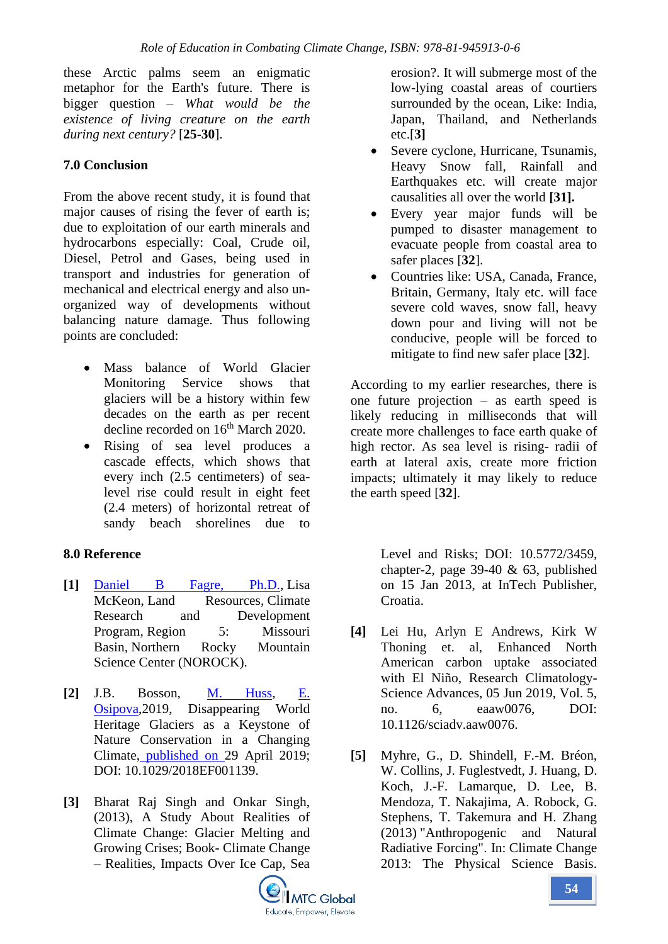these Arctic palms seem an enigmatic metaphor for the Earth's future. There is bigger question – *What would be the existence of living creature on the earth during next century?* [**25-30**].

## **7.0 Conclusion**

From the above recent study, it is found that major causes of rising the fever of earth is; due to exploitation of our earth minerals and hydrocarbons especially: Coal, Crude oil, Diesel, Petrol and Gases, being used in transport and industries for generation of mechanical and electrical energy and also unorganized way of developments without balancing nature damage. Thus following points are concluded:

- Mass balance of World Glacier Monitoring Service shows that glaciers will be a history within few decades on the earth as per recent decline recorded on 16<sup>th</sup> March 2020.
- Rising of sea level produces a cascade effects, which shows that every inch (2.5 centimeters) of sealevel rise could result in eight feet (2.4 meters) of horizontal retreat of sandy beach shorelines due to

# **8.0 Reference**

- **[1]** Daniel B Fagre, Ph.D., Lisa McKeon, Land Resources*,* Climate Research and Development Program*,* Region 5: Missouri Basin*,* Northern Rocky Mountain Science Center (NOROCK).
- **[2]** J.B. Bosson, M. Huss, E. Osipova,2019, Disappearing World Heritage Glaciers as a Keystone of Nature Conservation in a Changing Climate, published on 29 April 2019; DOI: 10.1029/2018EF001139.
- **[3]** Bharat Raj Singh and Onkar Singh, (2013), A Study About Realities of Climate Change: Glacier Melting and Growing Crises; Book- Climate Change – Realities, Impacts Over Ice Cap, Sea

erosion?. It will submerge most of the low-lying coastal areas of courtiers surrounded by the ocean, Like: India, Japan, Thailand, and Netherlands etc.[**3]**

- Severe cyclone, Hurricane, Tsunamis, Heavy Snow fall, Rainfall and Earthquakes etc. will create major causalities all over the world **[31].**
- Every year major funds will be pumped to disaster management to evacuate people from coastal area to safer places [**32**].
- Countries like: USA, Canada, France, Britain, Germany, Italy etc. will face severe cold waves, snow fall, heavy down pour and living will not be conducive, people will be forced to mitigate to find new safer place [**32**].

According to my earlier researches, there is one future projection – as earth speed is likely reducing in milliseconds that will create more challenges to face earth quake of high rector. As sea level is rising- radii of earth at lateral axis, create more friction impacts; ultimately it may likely to reduce the earth speed [**32**].

> Level and Risks; DOI: 10.5772/3459, chapter-2, page 39-40 & 63, published on 15 Jan 2013, at InTech Publisher, Croatia.

- **[4]** Lei Hu, Arlyn E Andrews, Kirk W Thoning et. al, Enhanced North American carbon uptake associated with El Niño, Research Climatology-Science Advances, 05 Jun 2019, Vol. 5, no. 6, eaaw0076, DOI: 10.1126/sciadv.aaw0076.
- **[5]** Myhre, G., D. Shindell, F.-M. Bréon, W. Collins, J. Fuglestvedt, J. Huang, D. Koch, J.-F. Lamarque, D. Lee, B. Mendoza, T. Nakajima, A. Robock, G. Stephens, T. Takemura and H. Zhang (2013) "Anthropogenic and Natural Radiative Forcing". In: Climate Change 2013: The Physical Science Basis.

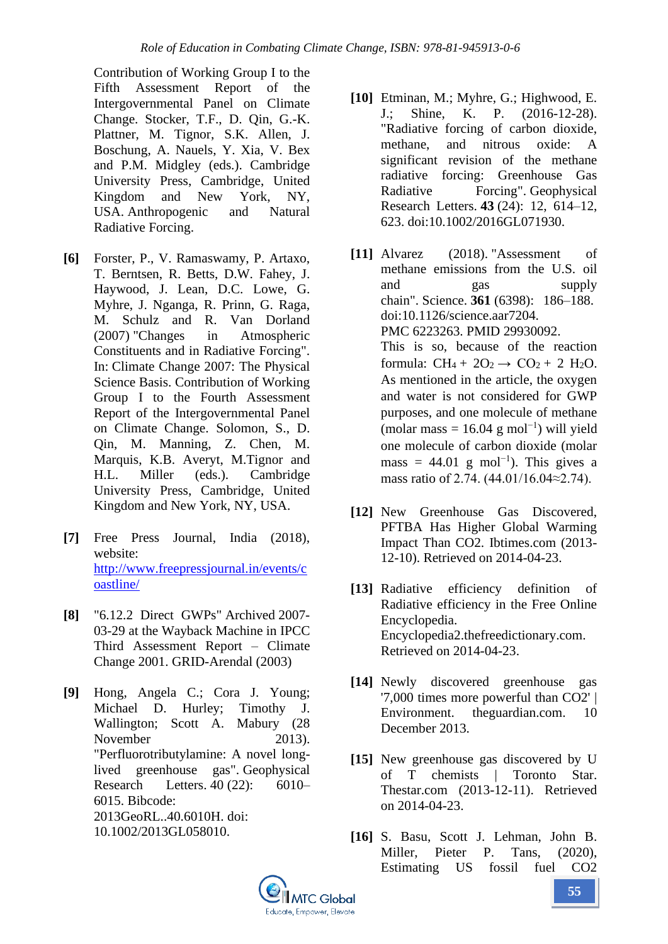Contribution of Working Group I to the Fifth Assessment Report of the Intergovernmental Panel on Climate Change. Stocker, T.F., D. Qin, G.-K. Plattner, M. Tignor, S.K. Allen, J. Boschung, A. Nauels, Y. Xia, V. Bex and P.M. Midgley (eds.). Cambridge University Press, Cambridge, United Kingdom and New York, NY, USA. Anthropogenic and Natural Radiative Forcing.

- **[6]** Forster, P., V. Ramaswamy, P. Artaxo, T. Berntsen, R. Betts, D.W. Fahey, J. Haywood, J. Lean, D.C. Lowe, G. Myhre, J. Nganga, R. Prinn, G. Raga, M. Schulz and R. Van Dorland (2007) "Changes in Atmospheric Constituents and in Radiative Forcing". In: Climate Change 2007: The Physical Science Basis. Contribution of Working Group I to the Fourth Assessment Report of the Intergovernmental Panel on Climate Change. Solomon, S., D. Qin, M. Manning, Z. Chen, M. Marquis, K.B. Averyt, M.Tignor and H.L. Miller (eds.). Cambridge University Press, Cambridge, United Kingdom and New York, NY, USA.
- [7] Free Press Journal, India (2018), website: http://www.freepressjournal.in/events/c oastline/
- **[8]** "6.12.2 Direct GWPs" Archived 2007- 03-29 at the Wayback Machine in IPCC Third Assessment Report – Climate Change 2001. GRID-Arendal (2003)
- **[9]** Hong, Angela C.; Cora J. Young; Michael D. Hurley; Timothy J. Wallington; Scott A. Mabury (28 November 2013). "Perfluorotributylamine: A novel longlived greenhouse gas". Geophysical Research Letters. 40 (22): 6010– 6015. Bibcode: 2013GeoRL..40.6010H. doi: 10.1002/2013GL058010.
- **[10]** Etminan, M.; Myhre, G.; Highwood, E. J.; Shine, K. P. (2016-12-28). "Radiative forcing of carbon dioxide, methane, and nitrous oxide: A significant revision of the methane radiative forcing: Greenhouse Gas Radiative Forcing". Geophysical Research Letters. **43** (24): 12, 614–12, 623. doi:10.1002/2016GL071930.
- **[11]** Alvarez (2018). "Assessment of methane emissions from the U.S. oil and gas supply chain". Science. **361** (6398): 186–188. doi:10.1126/science.aar7204. PMC 6223263. PMID 29930092. This is so, because of the reaction formula:  $CH_4 + 2O_2 \rightarrow CO_2 + 2 H_2O$ . As mentioned in the article, the oxygen and water is not considered for GWP purposes, and one molecule of methane (molar mass =  $16.04$  g mol<sup>-1</sup>) will yield one molecule of carbon dioxide (molar mass = 44.01 g mol<sup>-1</sup>). This gives a mass ratio of 2.74. (44.01/16.04≈2.74).
- **[12]** New Greenhouse Gas Discovered, PFTBA Has Higher Global Warming Impact Than CO2. Ibtimes.com (2013- 12-10). Retrieved on 2014-04-23.
- **[13]** Radiative efficiency definition of Radiative efficiency in the Free Online Encyclopedia. Encyclopedia2.thefreedictionary.com. Retrieved on 2014-04-23.
- **[14]** Newly discovered greenhouse gas '7,000 times more powerful than CO2' | Environment. theguardian.com. 10 December 2013.
- **[15]** New greenhouse gas discovered by U of T chemists | Toronto Star. Thestar.com (2013-12-11). Retrieved on 2014-04-23.
- **[16]** S. Basu, Scott J. Lehman, John B. Miller, Pieter P. Tans, (2020), Estimating US fossil fuel CO2

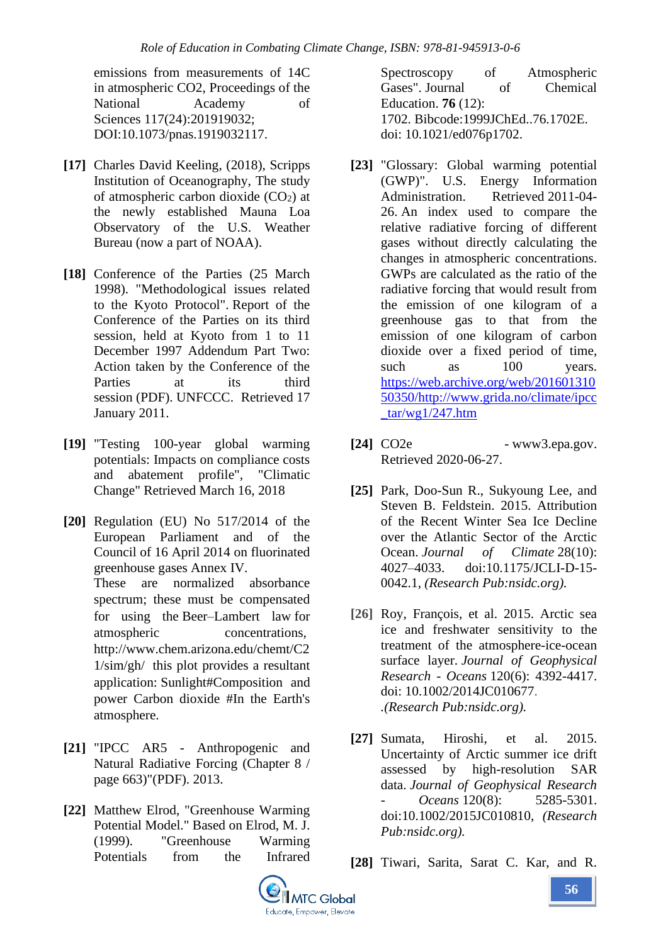emissions from measurements of 14C in atmospheric CO2, Proceedings of the National Academy of Sciences 117(24):201919032; DOI:10.1073/pnas.1919032117.

- **[17]** Charles David Keeling, (2018), Scripps Institution of Oceanography, The study of atmospheric carbon dioxide  $(CO<sub>2</sub>)$  at the newly established Mauna Loa Observatory of the U.S. Weather Bureau (now a part of NOAA).
- **[18]** Conference of the Parties (25 March 1998). "Methodological issues related to the Kyoto Protocol". Report of the Conference of the Parties on its third session, held at Kyoto from 1 to 11 December 1997 Addendum Part Two: Action taken by the Conference of the Parties at its third session (PDF). UNFCCC. Retrieved 17 January 2011.
- **[19]** "Testing 100-year global warming potentials: Impacts on compliance costs and abatement profile", "Climatic Change" Retrieved March 16, 2018
- **[20]** Regulation (EU) No 517/2014 of the European Parliament and of the Council of 16 April 2014 on fluorinated greenhouse gases Annex IV. These are normalized absorbance spectrum; these must be compensated for using the Beer–Lambert law for atmospheric concentrations, http://www.chem.arizona.edu/chemt/C2 1/sim/gh/ this plot provides a resultant application: Sunlight#Composition and power Carbon dioxide #In the Earth's atmosphere.
- **[21]** "IPCC AR5 Anthropogenic and Natural Radiative Forcing (Chapter 8 / page 663)"(PDF). 2013.
- **[22]** Matthew Elrod, "Greenhouse Warming Potential Model." Based on Elrod, M. J. (1999). "Greenhouse Warming Potentials from the Infrared

Spectroscopy of Atmospheric Gases". Journal of Chemical Education. **76** (12): 1702. Bibcode:1999JChEd..76.1702E. doi: 10.1021/ed076p1702.

- **[23]** "Glossary: Global warming potential (GWP)". U.S. Energy Information Administration. Retrieved 2011-04- 26. An index used to compare the relative radiative forcing of different gases without directly calculating the changes in atmospheric concentrations. GWPs are calculated as the ratio of the radiative forcing that would result from the emission of one kilogram of a greenhouse gas to that from the emission of one kilogram of carbon dioxide over a fixed period of time, such as  $100$  years. https://web.archive.org/web/201601310 50350/http://www.grida.no/climate/ipcc  $tar/wg1/247.htm$
- **[24]** CO2e www3.epa.gov. Retrieved 2020-06-27.
- **[25]** Park, Doo-Sun R., Sukyoung Lee, and Steven B. Feldstein. 2015. Attribution of the Recent Winter Sea Ice Decline over the Atlantic Sector of the Arctic Ocean. *Journal of Climate* 28(10): 4027–4033. doi:10.1175/JCLI-D-15- 0042.1, *(Research Pub:nsidc.org).*
- **[26]** Roy, François, et al. 2015. Arctic sea ice and freshwater sensitivity to the treatment of the atmosphere-ice-ocean surface layer. *Journal of Geophysical Research - Oceans* 120(6): 4392-4417. doi: 10.1002/2014JC010677. *.(Research Pub:nsidc.org).*
- **[27]** Sumata, Hiroshi, et al. 2015. Uncertainty of Arctic summer ice drift assessed by high-resolution SAR data. *Journal of Geophysical Research Oceans* 120(8): 5285-5301. doi:10.1002/2015JC010810, *(Research Pub:nsidc.org).*

**[28]** Tiwari, Sarita, Sarat C. Kar, and R.